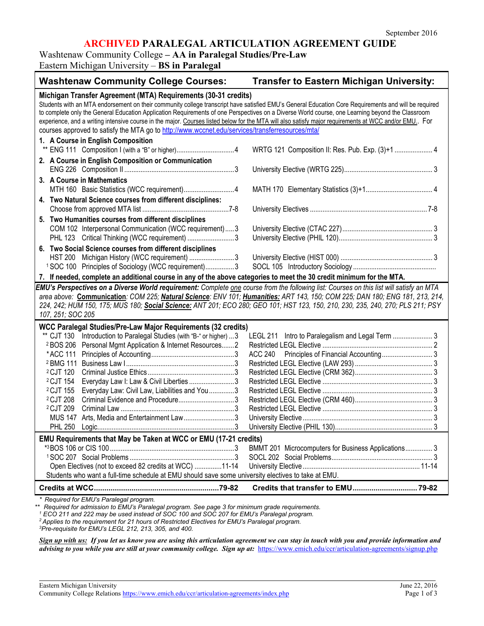# **ARCHIVED PARALEGAL ARTICULATION AGREEMENT GUIDE**

### Washtenaw Community College **– AA in Paralegal Studies/Pre-Law**

Eastern Michigan University – **BS in Paralegal**

| <b>Washtenaw Community College Courses:</b>                                                                                                                                                                                                                                                                                                                                                                                                                                                                                                                                                                                                                                                                               | Transfer to Eastern Michigan University:                                                                |  |
|---------------------------------------------------------------------------------------------------------------------------------------------------------------------------------------------------------------------------------------------------------------------------------------------------------------------------------------------------------------------------------------------------------------------------------------------------------------------------------------------------------------------------------------------------------------------------------------------------------------------------------------------------------------------------------------------------------------------------|---------------------------------------------------------------------------------------------------------|--|
| Michigan Transfer Agreement (MTA) Requirements (30-31 credits)<br>Students with an MTA endorsement on their community college transcript have satisfied EMU's General Education Core Requirements and will be required<br>to complete only the General Education Application Requirements of one Perspectives on a Diverse World course, one Learning beyond the Classroom<br>experience, and a writing intensive course in the major. Courses listed below for the MTA will also satisfy major requirements at WCC and/or EMU. For<br>courses approved to satisfy the MTA go to http://www.wccnet.edu/services/transferresources/mta/                                                                                    |                                                                                                         |  |
| 1. A Course in English Composition<br>** ENG 111 Composition I (with a "B" or higher)4                                                                                                                                                                                                                                                                                                                                                                                                                                                                                                                                                                                                                                    | WRTG 121 Composition II: Res. Pub. Exp. (3)+1  4                                                        |  |
| 2. A Course in English Composition or Communication                                                                                                                                                                                                                                                                                                                                                                                                                                                                                                                                                                                                                                                                       |                                                                                                         |  |
| 3. A Course in Mathematics<br>MTH 160 Basic Statistics (WCC requirement)4                                                                                                                                                                                                                                                                                                                                                                                                                                                                                                                                                                                                                                                 |                                                                                                         |  |
| 4. Two Natural Science courses from different disciplines:                                                                                                                                                                                                                                                                                                                                                                                                                                                                                                                                                                                                                                                                |                                                                                                         |  |
| 5. Two Humanities courses from different disciplines<br>COM 102 Interpersonal Communication (WCC requirement)3<br>PHL 123 Critical Thinking (WCC requirement) 3                                                                                                                                                                                                                                                                                                                                                                                                                                                                                                                                                           |                                                                                                         |  |
| 6. Two Social Science courses from different disciplines<br>HST 200 Michigan History (WCC requirement) 3<br><sup>1</sup> SOC 100 Principles of Sociology (WCC requirement)3                                                                                                                                                                                                                                                                                                                                                                                                                                                                                                                                               |                                                                                                         |  |
| 7. If needed, complete an additional course in any of the above categories to meet the 30 credit minimum for the MTA.                                                                                                                                                                                                                                                                                                                                                                                                                                                                                                                                                                                                     |                                                                                                         |  |
| EMU's Perspectives on a Diverse World requirement: Complete one course from the following list: Courses on this list will satisfy an MTA<br>area above: Communication: COM 225; Natural Science: ENV 101; Humanities: ART 143, 150; COM 225; DAN 180; ENG 181, 213, 214,<br>224, 242; HUM 150, 175; MUS 180; Social Science: ANT 201; ECO 280; GEO 101; HST 123, 150, 210, 230, 235, 240, 270; PLS 211; PSY<br>107, 251; SOC 205                                                                                                                                                                                                                                                                                          |                                                                                                         |  |
| WCC Paralegal Studies/Pre-Law Major Requirements (32 credits)<br>Introduction to Paralegal Studies (with "B-" or higher)  3<br>** CJT 130<br>Personal Mgmt Application & Internet Resources2<br><sup>2</sup> BOS 206<br>*ACC 111<br><sup>2</sup> BMG 111<br><sup>2</sup> CJT 120<br><sup>2</sup> CJT 154<br>Everyday Law I: Law & Civil Liberties 3<br><sup>2</sup> CJT 155<br>Everyday Law: Civil Law, Liabilities and You 3<br>Criminal Evidence and Procedure3<br><sup>2</sup> CJT 208<br><sup>2</sup> CJT 209<br>Arts, Media and Entertainment Law3<br><b>MUS 147</b><br><b>PHL 250</b><br>EMU Requirements that May be Taken at WCC or EMU (17-21 credits)<br>Open Electives (not to exceed 82 credits at WCC) 11-14 | LEGL 211 Intro to Paralegalism and Legal Term  3<br>BMMT 201 Microcomputers for Business Applications 3 |  |
| Students who want a full-time schedule at EMU should save some university electives to take at EMU.                                                                                                                                                                                                                                                                                                                                                                                                                                                                                                                                                                                                                       |                                                                                                         |  |
|                                                                                                                                                                                                                                                                                                                                                                                                                                                                                                                                                                                                                                                                                                                           |                                                                                                         |  |

*\* Required for EMU's Paralegal program.*

*\*\* Required for admission to EMU's Paralegal program. See page 3 for minimum grade requirements.*

*<sup>1</sup> ECO 211 and 222 may be used instead of SOC 100 and SOC 207 for EMU's Paralegal program.*

*<sup>2</sup> Applies to the requirement for 21 hours of Restricted Electives for EMU's Paralegal program.*

*3 Pre-requisite for EMU's LEGL 212, 213, 305, and 400.*

*Sign up with us: If you let us know you are using this articulation agreement we can stay in touch with you and provide information and advising to you while you are still at your community college. Sign up at:* <https://www.emich.edu/ccr/articulation-agreements/signup.php>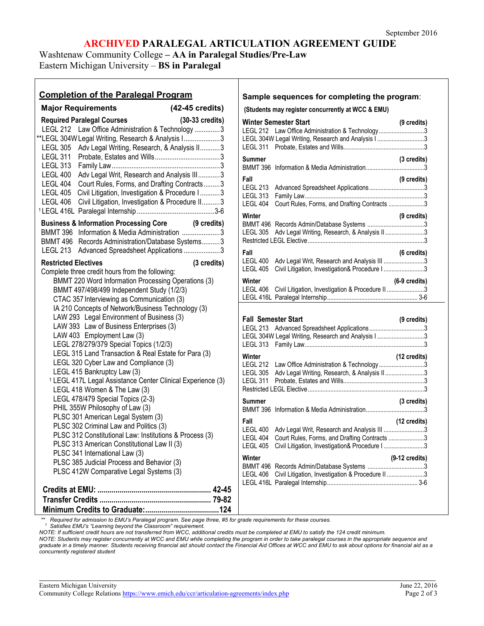# **ARCHIVED PARALEGAL ARTICULATION AGREEMENT GUIDE**

Washtenaw Community College **– AA in Paralegal Studies/Pre-Law** Eastern Michigan University – **BS in Paralegal**

| <b>Completion of the Paralegal Program</b>                                                                                                                                                                                                                                                                                                                                                                                                                                                                                                                                                              |                                                                                                                                                                                                                                                                                                                                                                                                                                                                     |
|---------------------------------------------------------------------------------------------------------------------------------------------------------------------------------------------------------------------------------------------------------------------------------------------------------------------------------------------------------------------------------------------------------------------------------------------------------------------------------------------------------------------------------------------------------------------------------------------------------|---------------------------------------------------------------------------------------------------------------------------------------------------------------------------------------------------------------------------------------------------------------------------------------------------------------------------------------------------------------------------------------------------------------------------------------------------------------------|
| <b>Major Requirements</b>                                                                                                                                                                                                                                                                                                                                                                                                                                                                                                                                                                               | (42-45 credits)<br>(S                                                                                                                                                                                                                                                                                                                                                                                                                                               |
| <b>Required Paralegal Courses</b><br><b>LEGL 305</b><br><b>LEGL 311</b><br><b>LEGL 313</b><br>LEGL 400<br>LEGL 404<br>LEGL 406                                                                                                                                                                                                                                                                                                                                                                                                                                                                          | $(30-33 \text{ credits})$<br>W<br>LEGL 212 Law Office Administration & Technology  3<br>LE<br>**LEGL 304W Legal Writing, Research & Analysis I 3<br>LE<br>LE<br>Adv Legal Writing, Research, & Analysis II3<br>$S_{1}$<br>BI<br>Adv Legal Writ, Research and Analysis III3<br>F<br>Court Rules, Forms, and Drafting Contracts3<br>LE<br>LEGL 405 Civil Litigation, Investigation & Procedure I3<br>LE<br>Civil Litigation, Investigation & Procedure II3<br>LE<br>W |
|                                                                                                                                                                                                                                                                                                                                                                                                                                                                                                                                                                                                         | <b>Business &amp; Information Processing Core (9 credits)</b><br>BI<br>BMMT 396 Information & Media Administration 3<br>LE                                                                                                                                                                                                                                                                                                                                          |
|                                                                                                                                                                                                                                                                                                                                                                                                                                                                                                                                                                                                         | R٥<br>BMMT 496 Records Administration/Database Systems3                                                                                                                                                                                                                                                                                                                                                                                                             |
| LEGL 213                                                                                                                                                                                                                                                                                                                                                                                                                                                                                                                                                                                                | Advanced Spreadsheet Applications 3<br>F                                                                                                                                                                                                                                                                                                                                                                                                                            |
| <b>Restricted Electives</b><br>Complete three credit hours from the following:                                                                                                                                                                                                                                                                                                                                                                                                                                                                                                                          | LE<br>(3 credits)<br>LE                                                                                                                                                                                                                                                                                                                                                                                                                                             |
|                                                                                                                                                                                                                                                                                                                                                                                                                                                                                                                                                                                                         | BMMT 220 Word Information Processing Operations (3)<br>W                                                                                                                                                                                                                                                                                                                                                                                                            |
| BMMT 497/498/499 Independent Study (1/2/3)<br>CTAC 357 Interviewing as Communication (3)                                                                                                                                                                                                                                                                                                                                                                                                                                                                                                                | LE<br>LE                                                                                                                                                                                                                                                                                                                                                                                                                                                            |
| LAW 293 Legal Environment of Business (3)<br>LAW 393 Law of Business Enterprises (3)<br>LAW 403 Employment Law (3)<br>LEGL 278/279/379 Special Topics (1/2/3)<br>LEGL 320 Cyber Law and Compliance (3)<br>LEGL 415 Bankruptcy Law (3)<br>LEGL 418 Women & The Law (3)<br>LEGL 478/479 Special Topics (2-3)<br>PHIL 355W Philosophy of Law (3)<br>PLSC 301 American Legal System (3)<br>PLSC 302 Criminal Law and Politics (3)<br>PLSC 313 American Constitutional Law II (3)<br>PLSC 341 International Law (3)<br>PLSC 385 Judicial Process and Behavior (3)<br>PLSC 412W Comparative Legal Systems (3) | IA 210 Concepts of Network/Business Technology (3)<br>F<br>LE<br>LE<br>LE<br>LEGL 315 Land Transaction & Real Estate for Para (3)<br>W<br>LE<br>LE<br><sup>1</sup> LEGL 417L Legal Assistance Center Clinical Experience (3)<br>LE<br>R١<br>Sι<br>BI<br>Fa<br>LE<br>PLSC 312 Constitutional Law: Institutions & Process (3)<br>LE<br>ᄔ<br>W<br>BI<br>LE<br>LE                                                                                                       |
|                                                                                                                                                                                                                                                                                                                                                                                                                                                                                                                                                                                                         |                                                                                                                                                                                                                                                                                                                                                                                                                                                                     |

#### **Sample sequences for completing the program**:

**(Students may register concurrently at WCC & EMU)**

| LEGL 311                                                             | <b>Winter Semester Start</b><br>LEGL 212 Law Office Administration & Technology3<br>LEGL 304W Legal Writing, Research and Analysis I 3        | (9 credits)             |
|----------------------------------------------------------------------|-----------------------------------------------------------------------------------------------------------------------------------------------|-------------------------|
| Summer                                                               |                                                                                                                                               | (3 credits)             |
| Fall<br><b>LEGL 213</b><br><b>LEGL 313</b><br>LEGL 404               | Court Rules, Forms, and Drafting Contracts 3                                                                                                  | (9 credits)             |
| Winter<br>LEGL 305                                                   | Adv Legal Writing, Research, & Analysis II 3                                                                                                  | (9 credits)             |
| Fall<br><b>LEGL 400</b><br><b>LEGL 405</b>                           | Adv Legal Writ, Research and Analysis III 3<br>Civil Litigation, Investigation& Procedure I 3                                                 | $(6 \text{ credits})$   |
| Winter<br><b>LEGL 406</b>                                            | Civil Litigation, Investigation & Procedure II 3                                                                                              | $(6-9 \text{ credits})$ |
|                                                                      |                                                                                                                                               |                         |
| <b>Fall Semester Start</b><br><b>LEGL 213</b>                        | LEGL 304W Legal Writing, Research and Analysis I 3                                                                                            | $(9 \text{ credits})$   |
| LEGL 313<br>Winter<br><b>LEGL 212</b><br><b>LEGL 305</b><br>LEGL 311 | Law Office Administration & Technology3<br>Adv Legal Writing, Research, & Analysis II3                                                        | (12 credits)            |
| Summer<br><b>BMMT 396</b>                                            |                                                                                                                                               | (3 credits)             |
| Fall<br><b>LEGL 400</b><br><b>LEGL 404</b><br><b>LEGL 405</b>        | Adv Legal Writ, Research and Analysis III 3<br>Court Rules, Forms, and Drafting Contracts 3<br>Civil Litigation, Investigation& Procedure I 3 | (12 credits)            |

 *\*\* Required for admission to EMU's Paralegal program. See page three, #5 for grade requirements for these courses. 1 Satisfies EMU's "Learning beyond the Classroom" requirement.*

*NOTE: If sufficient credit hours are not transferred from WCC, additional credits must be completed at EMU to satisfy the 124 credit minimum.*

*NOTE: Students may register concurrently at WCC and EMU while completing the program in order to take paralegal courses in the appropriate sequence and graduate in a timely manner. Students receiving financial aid should contact the Financial Aid Offices at WCC and EMU to ask about options for financial aid as a concurrently registered student*